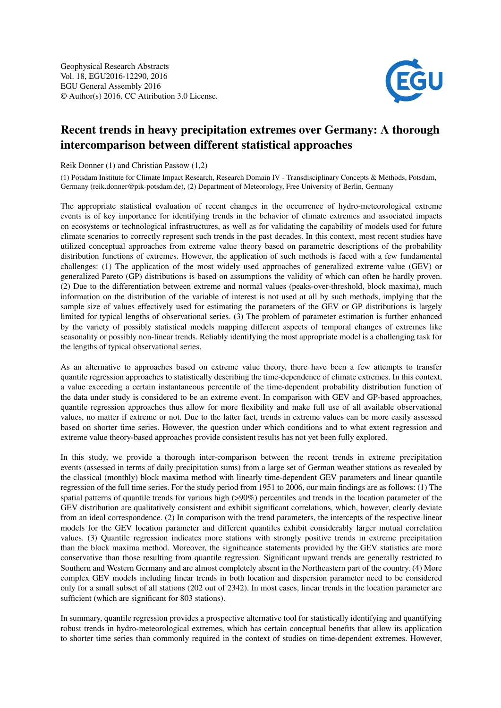

## Recent trends in heavy precipitation extremes over Germany: A thorough intercomparison between different statistical approaches

Reik Donner (1) and Christian Passow (1,2)

(1) Potsdam Institute for Climate Impact Research, Research Domain IV - Transdisciplinary Concepts & Methods, Potsdam, Germany (reik.donner@pik-potsdam.de), (2) Department of Meteorology, Free University of Berlin, Germany

The appropriate statistical evaluation of recent changes in the occurrence of hydro-meteorological extreme events is of key importance for identifying trends in the behavior of climate extremes and associated impacts on ecosystems or technological infrastructures, as well as for validating the capability of models used for future climate scenarios to correctly represent such trends in the past decades. In this context, most recent studies have utilized conceptual approaches from extreme value theory based on parametric descriptions of the probability distribution functions of extremes. However, the application of such methods is faced with a few fundamental challenges: (1) The application of the most widely used approaches of generalized extreme value (GEV) or generalized Pareto (GP) distributions is based on assumptions the validity of which can often be hardly proven. (2) Due to the differentiation between extreme and normal values (peaks-over-threshold, block maxima), much information on the distribution of the variable of interest is not used at all by such methods, implying that the sample size of values effectively used for estimating the parameters of the GEV or GP distributions is largely limited for typical lengths of observational series. (3) The problem of parameter estimation is further enhanced by the variety of possibly statistical models mapping different aspects of temporal changes of extremes like seasonality or possibly non-linear trends. Reliably identifying the most appropriate model is a challenging task for the lengths of typical observational series.

As an alternative to approaches based on extreme value theory, there have been a few attempts to transfer quantile regression approaches to statistically describing the time-dependence of climate extremes. In this context, a value exceeding a certain instantaneous percentile of the time-dependent probability distribution function of the data under study is considered to be an extreme event. In comparison with GEV and GP-based approaches, quantile regression approaches thus allow for more flexibility and make full use of all available observational values, no matter if extreme or not. Due to the latter fact, trends in extreme values can be more easily assessed based on shorter time series. However, the question under which conditions and to what extent regression and extreme value theory-based approaches provide consistent results has not yet been fully explored.

In this study, we provide a thorough inter-comparison between the recent trends in extreme precipitation events (assessed in terms of daily precipitation sums) from a large set of German weather stations as revealed by the classical (monthly) block maxima method with linearly time-dependent GEV parameters and linear quantile regression of the full time series. For the study period from 1951 to 2006, our main findings are as follows: (1) The spatial patterns of quantile trends for various high (>90%) percentiles and trends in the location parameter of the GEV distribution are qualitatively consistent and exhibit significant correlations, which, however, clearly deviate from an ideal correspondence. (2) In comparison with the trend parameters, the intercepts of the respective linear models for the GEV location parameter and different quantiles exhibit considerably larger mutual correlation values. (3) Quantile regression indicates more stations with strongly positive trends in extreme precipitation than the block maxima method. Moreover, the significance statements provided by the GEV statistics are more conservative than those resulting from quantile regression. Significant upward trends are generally restricted to Southern and Western Germany and are almost completely absent in the Northeastern part of the country. (4) More complex GEV models including linear trends in both location and dispersion parameter need to be considered only for a small subset of all stations (202 out of 2342). In most cases, linear trends in the location parameter are sufficient (which are significant for 803 stations).

In summary, quantile regression provides a prospective alternative tool for statistically identifying and quantifying robust trends in hydro-meteorological extremes, which has certain conceptual benefits that allow its application to shorter time series than commonly required in the context of studies on time-dependent extremes. However,